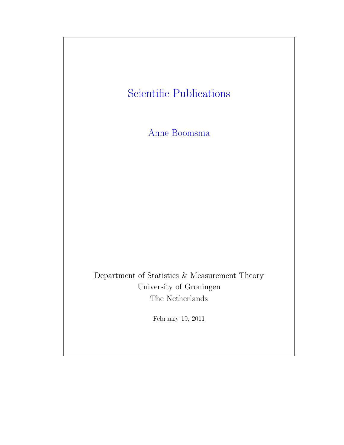<span id="page-0-0"></span>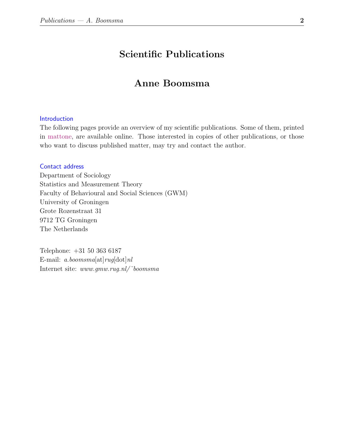# Scientific Publications

## Anne Boomsma

## Introduction

The following pages provide an overview of my scientific publications. Some of them, printed in mattone, are available online. Those interested in copies of other publications, or those who want to discuss published matter, may try and contact the author.

## Contact address

Department of Sociology Statistics and Measurement Theory Faculty of Behavioural and Social Sciences (GWM) University of Groningen Grote Rozenstraat 31 9712 TG Groningen The Netherlands

Telephone: +31 50 363 6187 E-mail: a.boomsma[at]rug[dot]nl Internet site: www.gmw.rug.nl/~boomsma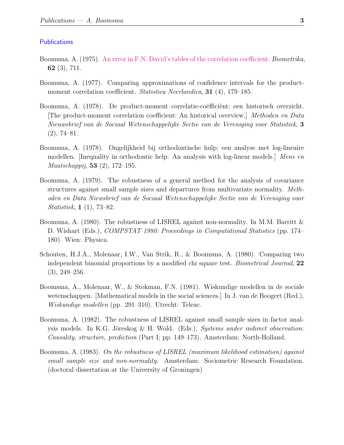#### **Publications**

- Boomsma, A. (1975). [An error in F.N. David's tables of the correlation coefficient.](#page-0-0) Biometrika, 62 (3), 711.
- Boomsma, A. (1977). Comparing approximations of confidence intervals for the productmoment correlation coefficient. *Statistica Neerlandica*, **31** (4), 179–185.
- Boomsma, A. (1978). De product-moment correlatie-coëfficiënt: een historisch overzicht. [The product-moment correlation coefficient: An historical overview.] Methoden en Data Nieuwsbrief van de Sociaal Wetenschappelijke Sectie van de Vereniging voor Statistiek, 3  $(2), 74-81.$
- Boomsma, A. (1978). Ongelijkheid bij orthodontische hulp; een analyse met log-lineaire modellen. [Inequality in orthodontic help: An analysis with log-linear models.] Mens en Maatschappij, 53 (2), 172–195.
- Boomsma, A. (1979). The robustness of a general method for the analysis of covariance structures against small sample sizes and departures from multivariate normality. *Meth*oden en Data Niewsbrief van de Sociaal Wetenschappelijke Sectie van de Vereniging voor Statistiek, 1 (1), 73–82.
- Boomsma, A. (1980). The robustness of LISREL against non-normality. In M.M. Barritt & D. Wishart (Eds.), COMPSTAT 1980: Proceedings in Computational Statistics (pp. 174– 180). Wien: Physica.
- Schouten, H.J.A., Molenaar, I.W., Van Strik, R., & Boomsma, A. (1980). Comparing two independent binomial proportions by a modified chi square test. Biometrical Journal, 22 (3), 249–256.
- Boomsma, A., Molenaar, W., & Stokman, F.N. (1981). Wiskundige modellen in de sociale wetenschappen. [Mathematical models in the social sciences.] In J. van de Boogert (Red.), Wiskundige modellen (pp. 291–310). Utrecht: Teleac.
- Boomsma, A. (1982). The robustness of LISREL against small sample sizes in factor analysis models. In K.G. Jöreskog  $\&$  H. Wold. (Eds.), Systems under indirect observation: Causality, structure, prediction (Part I; pp. 149–173). Amsterdam: North-Holland.
- Boomsma, A. (1983). On the robustness of LISREL (maximum likelihood estimation) against small sample size and non-normality. Amsterdam: Sociometric Research Foundation. (doctoral dissertation at the University of Groningen)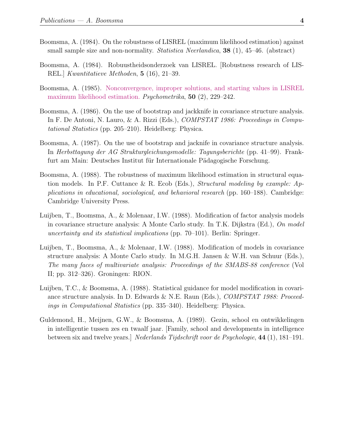- Boomsma, A. (1984). On the robustness of LISREL (maximum likelihood estimation) against small sample size and non-normality. *Statistica Neerlandica*, **38** (1), 45–46. (abstract)
- Boomsma, A. (1984). Robuustheidsonderzoek van LISREL. [Robustness research of LIS-REL.] Kwantitatieve Methoden, 5 (16), 21–39.
- Boomsma, A. (1985). [Nonconvergence, improper solutions, and starting values in LISREL](#page-0-0) [maximum likelihood estimation.](#page-0-0) Psychometrika, 50 (2), 229–242.
- Boomsma, A. (1986). On the use of bootstrap and jackknife in covariance structure analysis. In F. De Antoni, N. Lauro, & A. Rizzi (Eds.), *COMPSTAT 1986: Proceedings in Compu*tational Statistics (pp. 205–210). Heidelberg: Physica.
- Boomsma, A. (1987). On the use of bootstrap and jacknife in covariance structure analysis. In Herbsttagung der AG Strukturgleichungsmodelle: Tagungsberichte (pp. 41–99). Frankfurt am Main: Deutsches Institut für Internationale Pädagogische Forschung.
- Boomsma, A. (1988). The robustness of maximum likelihood estimation in structural equation models. In P.F. Cuttance & R. Ecob (Eds.), *Structural modeling by example: Ap*plications in educational, sociological, and behavioral research (pp. 160–188). Cambridge: Cambridge University Press.
- Luijben, T., Boomsma, A., & Molenaar, I.W. (1988). Modification of factor analysis models in covariance structure analysis: A Monte Carlo study. In T.K. Dijkstra (Ed.), On model uncertainty and its statistical implications (pp. 70–101). Berlin: Springer.
- Luijben, T., Boomsma, A., & Molenaar, I.W. (1988). Modification of models in covariance structure analysis: A Monte Carlo study. In M.G.H. Jansen & W.H. van Schuur (Eds.), The many faces of multivariate analysis: Proceedings of the SMABS-88 conference (Vol II; pp. 312–326). Groningen: RION.
- Luijben, T.C., & Boomsma, A. (1988). Statistical guidance for model modification in covariance structure analysis. In D. Edwards & N.E. Raun (Eds.), COMPSTAT 1988: Proceedings in Computational Statistics (pp. 335–340). Heidelberg: Physica.
- Guldemond, H., Meijnen, G.W., & Boomsma, A. (1989). Gezin, school en ontwikkelingen in intelligentie tussen zes en twaalf jaar. [Family, school and developments in intelligence between six and twelve years.] Nederlands Tijdschrift voor de Psychologie, 44 (1), 181–191.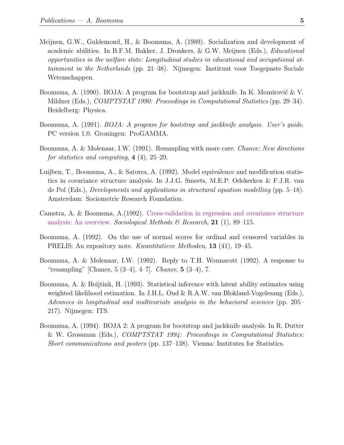- Meijnen, G.W., Guldemond, H., & Boomsma, A. (1989). Socialization and development of academic abilities. In B.F.M. Bakker, J. Dronkers, & G.W. Meijnen (Eds.), Educational opportunities in the welfare state: Longitudinal studies in educational and occupational attainment in the Netherlands (pp. 21–38). Nijmegen: Instituut voor Toegepaste Sociale Wetenschappen.
- Boomsma, A. (1990). BOJA: A program for bootstrap and jackknife. In K. Momirović  $&\nabla$ . Mildner (Eds.), *COMPTSTAT 1990: Proceedings in Computational Statistics* (pp. 29–34). Heidelberg: Physica.
- Boomsma, A. (1991). *BOJA: A program for bootstrap and jackknife analysis. User's guide.* PC version 1.0. Groningen: ProGAMMA.
- Boomsma, A. & Molenaar, I.W. (1991). Resampling with more care. Chance: New directions for statistics and computing,  $4(4)$ ,  $25-29$ .
- Luijben, T., Boomsma, A., & Satorra, A. (1992). Model equivalence and modification statistics in covariance structure analysis. In J.J.G. Smeets, M.E.P. Odekerken & F.J.R. van de Pol (Eds.), Developments and applications in structural equation modelling (pp. 5–18). Amsterdam: Sociometric Research Foundation.
- Camstra, A. & Boomsma, A.(1992). [Cross-validation in regression and covariance structure](#page-0-0) [analysis: An overview.](#page-0-0) Sociological Methods & Research, 21 (1), 89–115.
- Boomsma, A. (1992). On the use of normal scores for ordinal and censored variables in PRELIS: An expository note. *Kwantitatieve Methoden*, **13** (41), 19–45.
- Boomsma, A. & Molenaar, I.W. (1992). Reply to T.H. Wonnacott (1992). A response to "resampling" [Chance,  $5(3-4)$ ,  $4-7$ ]. *Chance*,  $5(3-4)$ , 7.
- Boomsma, A. & Hoijtink, H. (1993). Statistical inference with latent ability estimates using weighted likelihood estimation. In J.H.L. Oud & R.A.W. van Blokland-Vogelesang (Eds.), Advances in longitudinal and multivariate analysis in the behavioral sciences (pp. 205– 217). Nijmegen: ITS.
- Boomsma, A. (1994). BOJA 2: A program for bootstrap and jackknife analysis. In R. Dutter & W. Grossman (Eds.), COMPTSTAT 1994: Proceedings in Computational Statistics: Short communications and posters (pp. 137–138). Vienna: Institutes for Statistics.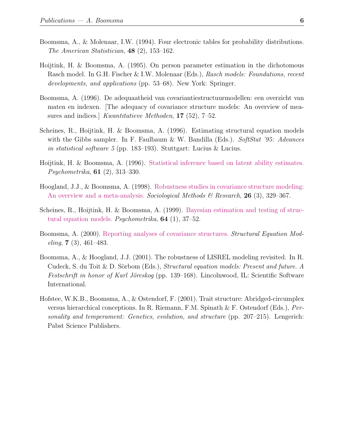- Boomsma, A., & Molenaar, I.W. (1994). Four electronic tables for probability distributions. The American Statistician, 48 (2), 153–162.
- Hoijtink, H. & Boomsma, A. (1995). On person parameter estimation in the dichotomous Rasch model. In G.H. Fischer & I.W. Molenaar (Eds.), Rasch models: Foundations, recent developments, and applications (pp. 53–68). New York: Springer.
- Boomsma, A. (1996). De adequaatheid van covariantiestructuurmodellen: een overzicht van maten en indexen. [The adequacy of covariance structure models: An overview of measures and indices.] Kwantitatieve Methoden, 17 (52), 7–52.
- Scheines, R., Hoijtink, H. & Boomsma, A. (1996). Estimating structural equation models with the Gibbs sampler. In F. Faulbaum & W. Bandilla (Eds.). SoftStat '95: Advances in statistical software 5 (pp. 183–193). Stuttgart: Lucius & Lucius.
- Hoijtink, H. & Boomsma, A. (1996). [Statistical inference based on latent ability estimates.](#page-0-0) Psychometrika, 61 (2), 313–330.
- Hoogland, J.J., & Boomsma, A. (1998). [Robustness studies in covariance structure modeling:](#page-0-0) [An overview and a meta-analysis.](#page-0-0) Sociological Methods  $\mathcal B$  Research, 26 (3), 329–367.
- Scheines, R., Hoijtink, H. & Boomsma, A. (1999). [Bayesian estimation and testing of struc](#page-0-0)[tural equation models.](#page-0-0) Psychometrika, 64 (1), 37–52.
- Boomsma, A. (2000). [Reporting analyses of covariance structures.](#page-0-0) Structural Equation Mod*eling*,  $7(3)$ ,  $461-483$ .
- Boomsma, A., & Hoogland, J.J. (2001). The robustness of LISREL modeling revisited. In R. Cudeck, S. du Toit  $\&$  D. Sörbom (Eds.), *Structural equation models: Present and future.* A Festschrift in honor of Karl Jöreskog (pp. 139–168). Lincolnwood, IL: Scientific Software International.
- Hofstee, W.K.B., Boomsma, A., & Ostendorf, F. (2001). Trait structure: Abridged-circumplex versus hierarchical conceptions. In R. Riemann, F.M. Spinath & F. Ostendorf (Eds.), Personality and temperament: Genetics, evolution, and structure (pp. 207–215). Lengerich: Pabst Science Publishers.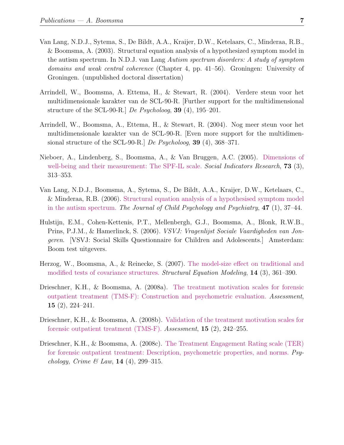- Van Lang, N.D.J., Sytema, S., De Bildt, A.A., Kraijer, D.W., Ketelaars, C., Minderaa, R.B., & Boomsma, A. (2003). Structural equation analysis of a hypothesized symptom model in the autism spectrum. In N.D.J. van Lang Autism spectrum disorders: A study of symptom domains and weak central coherence (Chapter 4, pp. 41–56). Groningen: University of Groningen. (unpublished doctoral dissertation)
- Arrindell, W., Boomsma, A. Ettema, H., & Stewart, R. (2004). Verdere steun voor het multidimensionale karakter van de SCL-90-R. [Further support for the multidimensional structure of the SCL-90-R.] De Psycholoog, 39 (4), 195–201.
- Arrindell, W., Boomsma, A., Ettema, H., & Stewart, R. (2004). Nog meer steun voor het multidimensionale karakter van de SCL-90-R. [Even more support for the multidimensional structure of the SCL-90-R.] De Psycholoog, 39 (4), 368–371.
- Nieboer, A., Lindenberg, S., Boomsma, A., & Van Bruggen, A.C. (2005). [Dimensions of](#page-0-0) [well-being and their measurement: The SPF-IL scale.](#page-0-0) Social Indicators Research, 73 (3), 313–353.
- Van Lang, N.D.J., Boomsma, A., Sytema, S., De Bildt, A.A., Kraijer, D.W., Ketelaars, C., & Minderaa, R.B. (2006). [Structural equation analysis of a hypothesised symptom model](#page-0-0) [in the autism spectrum.](#page-0-0) The Journal of Child Psychology and Psychiatry,  $47$  (1), 37–44.
- Hulstijn, E.M., Cohen-Kettenis, P.T., Mellenbergh, G.J., Boomsma, A., Blonk, R.W.B., Prins, P.J.M., & Hamerlinck, S. (2006). VSVJ: Vragenlijst Sociale Vaardigheden van Jongeren. [VSVJ: Social Skills Questionnaire for Children and Adolescents.] Amsterdam: Boom test uitgevers.
- Herzog, W., Boomsma, A., & Reinecke, S. (2007). [The model-size effect on traditional and](#page-0-0) [modified tests of covariance structures.](#page-0-0) Structural Equation Modeling, 14 (3), 361–390.
- Drieschner, K.H., & Boomsma, A. (2008a). [The treatment motivation scales for forensic](#page-0-0) [outpatient treatment \(TMS-F\): Construction and psychometric evaluation.](#page-0-0) Assessment, 15 (2), 224–241.
- Drieschner, K.H., & Boomsma, A. (2008b). [Validation of the treatment motivation scales for](#page-0-0) [forensic outpatient treatment \(TMS-F\).](#page-0-0) Assessment, 15 (2), 242–255.
- Drieschner, K.H., & Boomsma, A. (2008c). [The Treatment Engagement Rating scale \(TER\)](#page-0-0) [for forensic outpatient treatment: Description, psychometric properties, and norms.](#page-0-0) Psychology, Crime & Law, 14 (4), 299-315.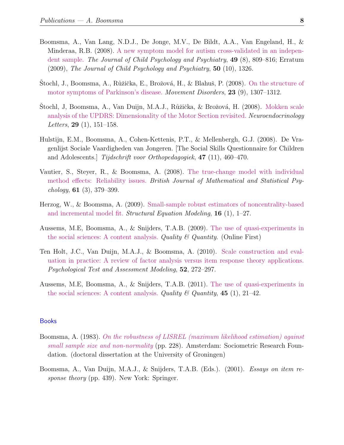- Boomsma, A., Van Lang, N.D.J., De Jonge, M.V., De Bildt, A.A., Van Engeland, H., & Minderaa, R.B. (2008). [A new symptom model for autism cross-validated in an indepen](#page-0-0)[dent sample.](#page-0-0) The Journal of Child Psychology and Psychiatry, 49 (8), 809–816; Erratum (2009), The Journal of Child Psychology and Psychiatry, 50 (10), 1326.
- Stochl, J., Boomsma, A., Růžička, E., Brožová, H., & Blahuš, P. (2008). [On the structure of](#page-0-0) [motor symptoms of Parkinson's disease.](#page-0-0) Movement Disorders, 23 (9), 1307–1312.
- Stochl, J, Boomsma, A., Van Duijn, M.A.J., Růžička, & Brožová, H. (2008). [Mokken scale](#page-0-0) [analysis of the UPDRS: Dimensionality of the Motor Section revisited.](#page-0-0) Neuroendocrinology *Letters*, **29** (1), 151–158.
- Hulstijn, E.M., Boomsma, A., Cohen-Kettenis, P.T., & Mellenbergh, G.J. (2008). De Vragenlijst Sociale Vaardigheden van Jongeren. [The Social Skills Questionnaire for Children and Adolescents.] Tijdschrift voor Orthopedagogiek, 47 (11), 460–470.
- Vautier, S., Steyer, R., & Boomsma, A. (2008). [The true-change model with individual](#page-0-0) [method effects: Reliability issues.](#page-0-0) British Journal of Mathematical and Statistical Psy $chology, 61 (3), 379-399.$
- Herzog, W., & Boomsma, A. (2009). [Small-sample robust estimators of noncentrality-based](#page-0-0) [and incremental model fit.](#page-0-0) Structural Equation Modeling,  $16$  (1), 1–27.
- Aussems, M.E, Boomsma, A., & Snijders, T.A.B. (2009). [The use of quasi-experiments in](#page-0-0) [the social sciences: A content analysis.](#page-0-0) Quality  $\mathcal{C}$  Quantity. (Online First)
- Ten Holt, J.C., Van Duijn, M.A.J., & Boomsma, A. (2010). [Scale construction and eval](#page-0-0)[uation in practice: A review of factor analysis versus item response theory applications.](#page-0-0) Psychological Test and Assessment Modeling, 52, 272–297.
- Aussems, M.E, Boomsma, A., & Snijders, T.A.B. (2011). [The use of quasi-experiments in](#page-0-0) [the social sciences: A content analysis.](#page-0-0) Quality  $\mathcal C$  Quantity, 45 (1), 21–42.

## Books

- Boomsma, A. (1983). [On the robustness of LISREL \(maximum likelihood estimation\) against](#page-0-0) [small sample size and non-normality](#page-0-0) (pp. 228). Amsterdam: Sociometric Research Foundation. (doctoral dissertation at the University of Groningen)
- Boomsma, A., Van Duijn, M.A.J., & Snijders, T.A.B. (Eds.). (2001). Essays on item response theory (pp. 439). New York: Springer.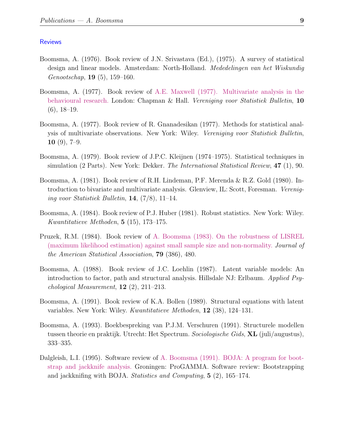#### **Reviews**

- Boomsma, A. (1976). Book review of J.N. Srivastava (Ed.), (1975). A survey of statistical design and linear models. Amsterdam: North-Holland. Mededelingen van het Wiskundig Genootschap, 19 (5), 159–160.
- Boomsma, A. (1977). Book review of [A.E. Maxwell \(1977\). Multivariate analysis in the](#page-0-0) [behavioural research.](#page-0-0) London: Chapman & Hall. Vereniging voor Statistiek Bulletin, 10  $(6), 18-19.$
- Boomsma, A. (1977). Book review of R. Gnanadesikan (1977). Methods for statistical analysis of multivariate observations. New York: Wiley. Vereniging voor Statistiek Bulletin, 10  $(9)$ , 7-9.
- Boomsma, A. (1979). Book review of J.P.C. Kleijnen (1974–1975). Statistical techniques in simulation (2 Parts). New York: Dekker. The International Statistical Review, 47 (1), 90.
- Boomsma, A. (1981). Book review of R.H. Lindeman, P.F. Merenda & R.Z. Gold (1980). Introduction to bivariate and multivariate analysis. Glenview, IL: Scott, Foresman. Vereniging voor Statistiek Bulletin,  $14$ ,  $(7/8)$ ,  $11-14$ .
- Boomsma, A. (1984). Book review of P.J. Huber (1981). Robust statistics. New York: Wiley. Kwantitatieve Methoden, 5 (15), 173–175.
- Pruzek, R.M. (1984). Book review of [A. Boomsma \(1983\). On the robustness of LISREL](#page-0-0) [\(maximum likelihood estimation\) against small sample size and non-normality.](#page-0-0) Journal of the American Statistical Association, 79 (386), 480.
- Boomsma, A. (1988). Book review of J.C. Loehlin (1987). Latent variable models: An introduction to factor, path and structural analysis. Hillsdale NJ: Erlbaum. Applied Psychological Measurement,  $12$  (2),  $211-213$ .
- Boomsma, A. (1991). Book review of K.A. Bollen (1989). Structural equations with latent variables. New York: Wiley. Kwantitatieve Methoden, 12 (38), 124–131.
- Boomsma, A. (1993). Boekbespreking van P.J.M. Verschuren (1991). Structurele modellen tussen theorie en praktijk. Utrecht: Het Spectrum. Sociologische Gids, XL (juli/augustus), 333–335.
- Dalgleish, L.I. (1995). Software review of [A. Boomsma \(1991\). BOJA: A program for boot](#page-0-0)[strap and jackknife analysis.](#page-0-0) Groningen: ProGAMMA. Software review: Bootstrapping and jackknifing with BOJA. Statistics and Computing, 5 (2), 165–174.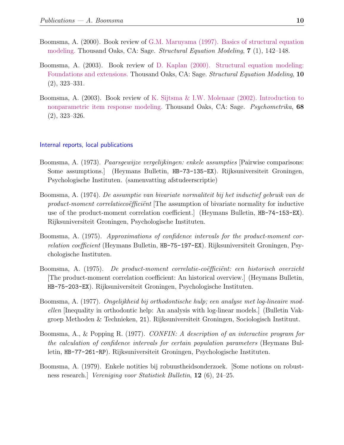- Boomsma, A. (2000). Book review of [G.M. Maruyama \(1997\). Basics of structural equation](#page-0-0) [modeling.](#page-0-0) Thousand Oaks, CA: Sage. Structural Equation Modeling, 7 (1), 142–148.
- Boomsma, A. (2003). Book review of [D. Kaplan \(2000\). Structural equation modeling:](#page-0-0) [Foundations and extensions.](#page-0-0) Thousand Oaks, CA: Sage. *Structural Equation Modeling*, 10 (2), 323–331.
- Boomsma, A. (2003). Book review of [K. Sijtsma & I.W. Molenaar \(2002\). Introduction to](#page-0-0) [nonparametric item response modeling.](#page-0-0) Thousand Oaks, CA: Sage. Psychometrika, 68 (2), 323–326.

#### Internal reports, local publications

- Boomsma, A. (1973). Paarsgewijze vergelijkingen: enkele assumpties [Pairwise comparisons: Some assumptions.] (Heymans Bulletin, HB-73-135-EX). Rijksuniversiteit Groningen, Psychologische Instituten. (samenvatting afstudeerscriptie)
- Boomsma, A. (1974). De assumptie van bivariate normaliteit bij het inductief gebruik van de product-moment correlatieco efficient [The assumption of bivariate normality for inductive use of the product-moment correlation coefficient.] (Heymans Bulletin, HB-74-153-EX). Rijksuniversiteit Groningen, Psychologische Instituten.
- Boomsma, A. (1975). Approximations of confidence intervals for the product-moment correlation coefficient (Heymans Bulletin, HB-75-197-EX). Rijksuniversiteit Groningen, Psychologische Instituten.
- Boomsma, A. (1975). De product-moment correlatie-coëfficiënt: een historisch overzicht [The product-moment correlation coefficient: An historical overview.] (Heymans Bulletin, HB-75-203-EX). Rijksuniversiteit Groningen, Psychologische Instituten.
- Boomsma, A. (1977). Ongelijkheid bij orthodontische hulp; een analyse met log-lineaire modellen [Inequality in orthodontic help: An analysis with log-linear models.] (Bulletin Vakgroep Methoden & Technieken, 21). Rijksuniversiteit Groningen, Sociologisch Instituut.
- Boomsma, A., & Popping R. (1977). CONFIN: A description of an interactive program for the calculation of confidence intervals for certain population parameters (Heymans Bulletin, HB-77-261-RP). Rijksuniversiteit Groningen, Psychologische Instituten.
- Boomsma, A. (1979). Enkele notities bij robuustheidsonderzoek. [Some notions on robustness research.] Vereniging voor Statistiek Bulletin, 12 (6), 24–25.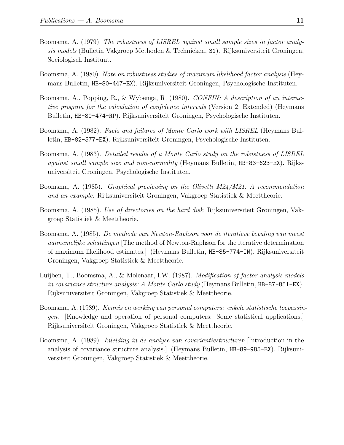- Boomsma, A. (1979). The robustness of LISREL against small sample sizes in factor analysis models (Bulletin Vakgroep Methoden & Technieken, 31). Rijksuniversiteit Groningen, Sociologisch Instituut.
- Boomsma, A. (1980). Note on robustness studies of maximum likelihood factor analysis (Heymans Bulletin, HB-80-447-EX). Rijksuniversiteit Groningen, Psychologische Instituten.
- Boomsma, A., Popping, R., & Wybenga, R. (1980). CONFIN: A description of an interactive program for the calculation of confidence intervals (Version 2; Extended) (Heymans Bulletin, HB-80-474-RP). Rijksuniversiteit Groningen, Psychologische Instituten.
- Boomsma, A. (1982). Facts and failures of Monte Carlo work with LISREL (Heymans Bulletin, HB-82-577-EX). Rijksuniversiteit Groningen, Psychologische Instituten.
- Boomsma, A. (1983). Detailed results of a Monte Carlo study on the robustness of LISREL against small sample size and non-normality (Heymans Bulletin, HB-83-623-EX). Rijksuniversiteit Groningen, Psychologische Instituten.
- Boomsma, A. (1985). Graphical previewing on the Olivetti M24/M21: A recommendation and an example. Rijksuniversiteit Groningen, Vakgroep Statistiek & Meettheorie.
- Boomsma, A. (1985). Use of directories on the hard disk. Rijksuniversiteit Groningen, Vakgroep Statistiek & Meettheorie.
- Boomsma, A. (1985). De methode van Newton-Raphson voor de iteratieve bepaling van meest aannemelijke schattingen [The method of Newton-Raphson for the iterative determination of maximum likelihood estimates.] (Heymans Bulletin, HB-85-774-IN). Rijksuniversiteit Groningen, Vakgroep Statistiek & Meettheorie.
- Luijben, T., Boomsma, A., & Molenaar, I.W. (1987). Modification of factor analysis models in covariance structure analysis: A Monte Carlo study (Heymans Bulletin, HB-87-851-EX). Rijksuniversiteit Groningen, Vakgroep Statistiek & Meettheorie.
- Boomsma, A. (1989). Kennis en werking van personal computers: enkele statistische toepassingen. [Knowledge and operation of personal computers: Some statistical applications.] Rijksuniversiteit Groningen, Vakgroep Statistiek & Meettheorie.
- Boomsma, A. (1989). Inleiding in de analyse van covariantiestructuren [Introduction in the analysis of covariance structure analysis.] (Heymans Bulletin, HB-89-985-EX). Rijksuniversiteit Groningen, Vakgroep Statistiek & Meettheorie.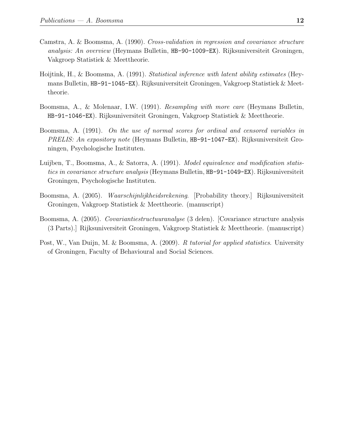- Camstra, A. & Boomsma, A. (1990). Cross-validation in regression and covariance structure analysis: An overview (Heymans Bulletin, HB-90-1009-EX). Rijksuniversiteit Groningen, Vakgroep Statistiek & Meettheorie.
- Hoijtink, H., & Boomsma, A. (1991). Statistical inference with latent ability estimates (Heymans Bulletin, HB-91-1045-EX). Rijksuniversiteit Groningen, Vakgroep Statistiek & Meettheorie.
- Boomsma, A., & Molenaar, I.W. (1991). Resampling with more care (Heymans Bulletin, HB-91-1046-EX). Rijksuniversiteit Groningen, Vakgroep Statistiek & Meettheorie.
- Boomsma, A. (1991). On the use of normal scores for ordinal and censored variables in PRELIS: An expository note (Heymans Bulletin, HB-91-1047-EX). Rijksuniversiteit Groningen, Psychologische Instituten.
- Luijben, T., Boomsma, A., & Satorra, A. (1991). Model equivalence and modification statistics in covariance structure analysis (Heymans Bulletin, HB-91-1049-EX). Rijksuniversiteit Groningen, Psychologische Instituten.
- Boomsma, A. (2005). Waarschijnlijkheidsrekening. [Probability theory.] Rijksuniversiteit Groningen, Vakgroep Statistiek & Meettheorie. (manuscript)
- Boomsma, A. (2005). Covariantiestructuuranalyse (3 delen). [Covariance structure analysis (3 Parts).] Rijksuniversiteit Groningen, Vakgroep Statistiek & Meettheorie. (manuscript)
- Post, W., Van Duijn, M. & Boomsma, A. (2009). R tutorial for applied statistics. University of Groningen, Faculty of Behavioural and Social Sciences.